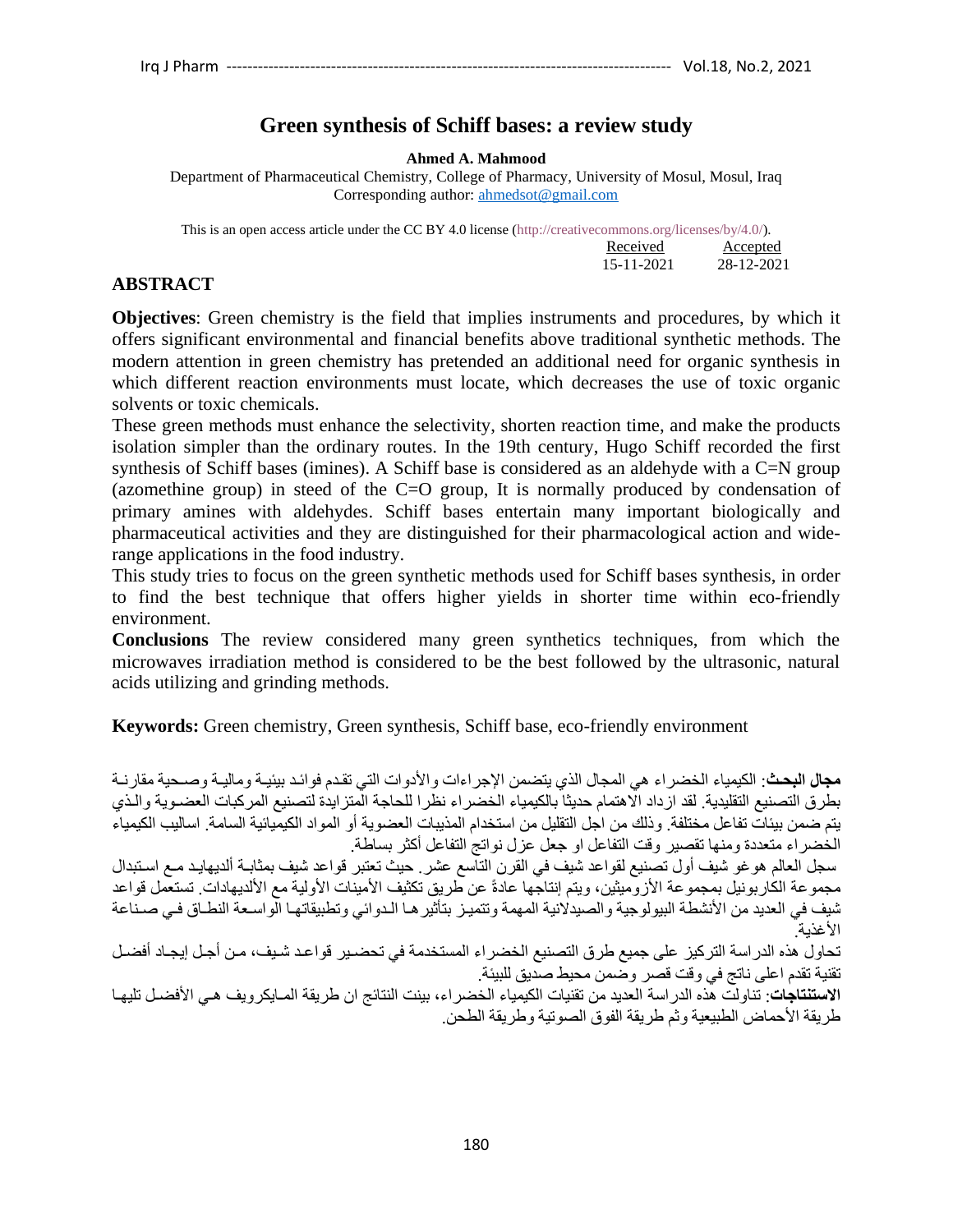# **Green synthesis of Schiff bases: a review study**

**Ahmed A. Mahmood**

Department of Pharmaceutical Chemistry, College of Pharmacy, University of Mosul, Mosul, Iraq Corresponding author: [ahmedsot@gmail.com](mailto:ahmedsot@gmail.com)

This is an open access article under the CC BY 4.0 license (http://creativecommons.org/licenses/by/4.0/). **Received Accepted** 15-11-2021 28-12-2021

## **ABSTRACT**

**Objectives**: Green chemistry is the field that implies instruments and procedures, by which it offers significant environmental and financial benefits above traditional synthetic methods. The modern attention in green chemistry has pretended an additional need for organic synthesis in which different reaction environments must locate, which decreases the use of toxic organic solvents or toxic chemicals.

These green methods must enhance the selectivity, shorten reaction time, and make the products isolation simpler than the ordinary routes. In the 19th century, Hugo Schiff recorded the first synthesis of Schiff bases (imines). A Schiff base is considered as an aldehyde with a C=N group (azomethine group) in steed of the C=O group, It is normally produced by condensation of primary amines with aldehydes. Schiff bases entertain many important biologically and pharmaceutical activities and they are distinguished for their pharmacological action and widerange applications in the food industry.

This study tries to focus on the green synthetic methods used for Schiff bases synthesis, in order to find the best technique that offers higher yields in shorter time within eco-friendly environment.

**Conclusions** The review considered many green synthetics techniques, from which the microwaves irradiation method is considered to be the best followed by the ultrasonic, natural acids utilizing and grinding methods.

**Keywords:** Green chemistry, Green synthesis, Schiff base, eco-friendly environment

**مجال البحث**: الكيمياء الخضراء هي المجال الذي يتضمن الإجراءات والأدوات التي تقدم فوائد بيئيـة وماليـة وصـحية مقارنـة بطرق التصنيع التقليدية. لقد از داد الاهتمام حديثا بالكيمياء الخضر اء نظر ا للحاجة المتز ايدة لتصنيع المركبات العضدوية والـذي يتم ضمن بيئات تفاعل مختلفة. وذلك من اجل التقليل من استخدام المذيبات العضوية أو المو اد الكيميائية السامة. اساليب الكيمياء الخضراء متعددة ومنها تقصير وقت التفاعل او جعل عزل نواتج التفاعل أكثر بساطة.

سجل العالم هوغو شيف أول تصنيع لقواعد شيف في القرن التاسع عشر. حيث تعتبر قواعد شيف بمثابــة ألديهايـد مــع اسـتبدال مجموعة الكاربونيل بمجموعة الأزوميثين، ويتم إنتاجها عادةً عن طريق تكثيف الأمينات الأولية مع الألديهادات. تستعمل قواعد شيف في العديد من الأنشطة البيولوجية والصيدلانية المهمة وتتميز بتأثيرها الدوائي وتطبيقاتها الواسعة النطاق في صداعة الأغذية.

تحاول هذه الدراسة التركيز على جميع طرق التصنيع الخضراء المستخدمة في تحضدير قواعد شبف، من أجل إيجاد أفضل تقنية تقدم اعلى ناتج في وقت قصر وضمن محيط صديق للبيئة.

<mark>الاستنتاجات</mark>: تناولت هذه الدراسة العديد من تقنيات الكيمياء الخضراء، بينت النتائج ان طريقة المـايكرويف هـي الأفضـل تليهـا طريقة الأحماض الطبيعية وثم طريقة الفوق الصوتية وطريقة الطحن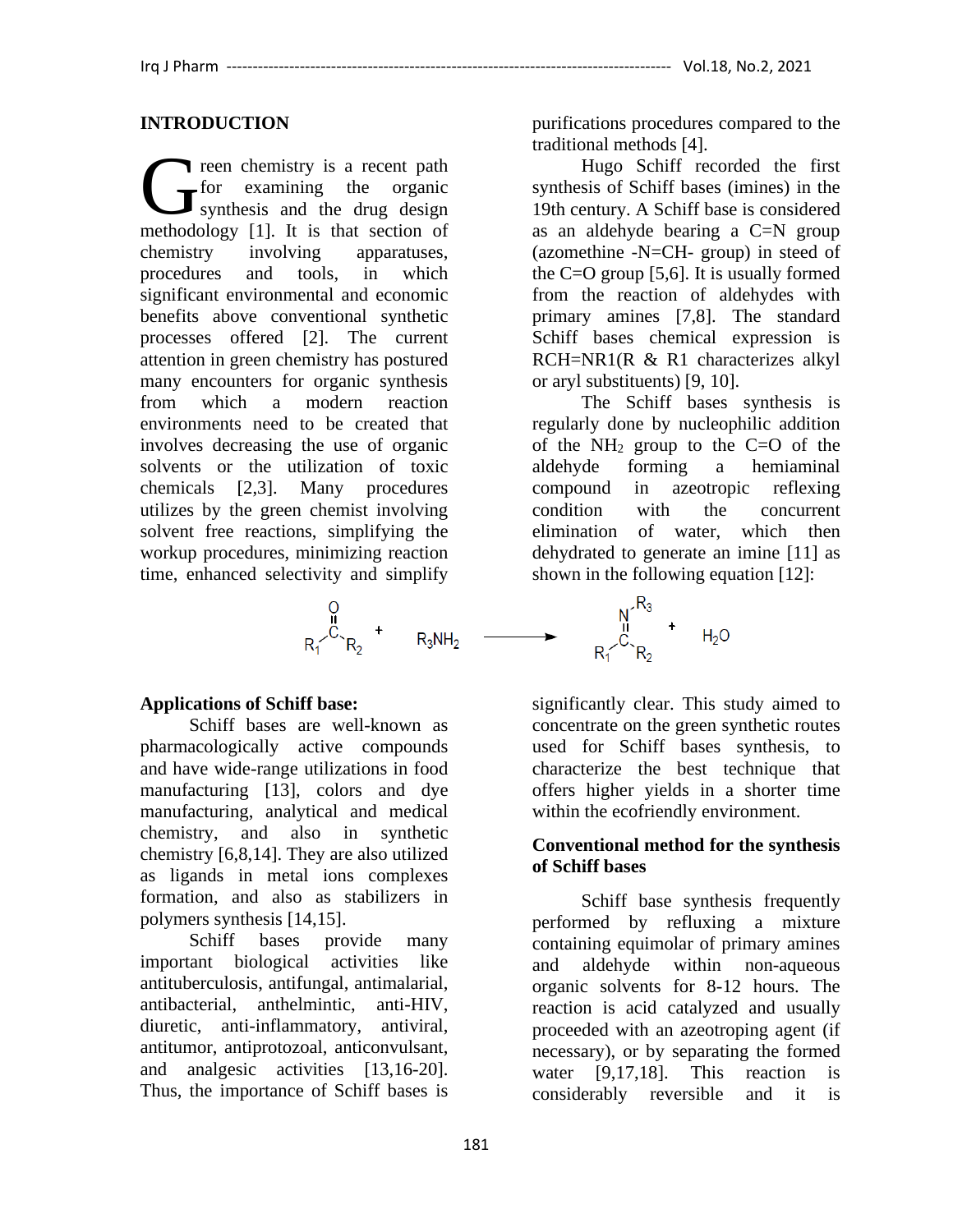### **INTRODUCTION**

reen chemistry is a recent path for examining the organic synthesis and the drug design The chemistry is a recent path<br>
for examining the organic<br>
synthesis and the drug design<br>
methodology [1]. It is that section of chemistry involving apparatuses, procedures and tools, in which significant environmental and economic benefits above conventional synthetic processes offered [2]. The current attention in green chemistry has postured many encounters for organic synthesis from which a modern reaction environments need to be created that involves decreasing the use of organic solvents or the utilization of toxic chemicals [2,3]. Many procedures utilizes by the green chemist involving solvent free reactions, simplifying the workup procedures, minimizing reaction time, enhanced selectivity and simplify

$$
\begin{matrix}\n0 \\
R_1\n\end{matrix} + \begin{matrix}\nR_3NH_1 \\
R_4\n\end{matrix}
$$

#### **Applications of Schiff base:**

Schiff bases are well-known as pharmacologically active compounds and have wide-range utilizations in food manufacturing [13], colors and dye manufacturing, analytical and medical chemistry, and also in synthetic chemistry [6,8,14]. They are also utilized as ligands in metal ions complexes formation, and also as stabilizers in polymers synthesis [14,15].

Schiff bases provide many important biological activities like antituberculosis, antifungal, antimalarial, antibacterial, anthelmintic, anti-HIV, diuretic, anti-inflammatory, antiviral, antitumor, antiprotozoal, anticonvulsant, and analgesic activities [13,16-20]. Thus, the importance of Schiff bases is

purifications procedures compared to the traditional methods [4].

Hugo Schiff recorded the first synthesis of Schiff bases (imines) in the 19th century. A Schiff base is considered as an aldehyde bearing a C=N group (azomethine -N=CH- group) in steed of the C=O group [5,6]. It is usually formed from the reaction of aldehydes with primary amines [7,8]. The standard Schiff bases chemical expression is RCH=NR1(R & R1 characterizes alkyl or aryl substituents) [9, 10].

The Schiff bases synthesis is regularly done by nucleophilic addition of the  $NH<sub>2</sub>$  group to the C=O of the aldehyde forming a hemiaminal compound in azeotropic reflexing condition with the concurrent elimination of water, which then dehydrated to generate an imine [11] as shown in the following equation [12]:



significantly clear. This study aimed to concentrate on the green synthetic routes used for Schiff bases synthesis, to characterize the best technique that offers higher yields in a shorter time within the ecofriendly environment.

#### **Conventional method for the synthesis of Schiff bases**

Schiff base synthesis frequently performed by refluxing a mixture containing equimolar of primary amines and aldehyde within non-aqueous organic solvents for 8-12 hours. The reaction is acid catalyzed and usually proceeded with an azeotroping agent (if necessary), or by separating the formed water [9,17,18]. This reaction is considerably reversible and it is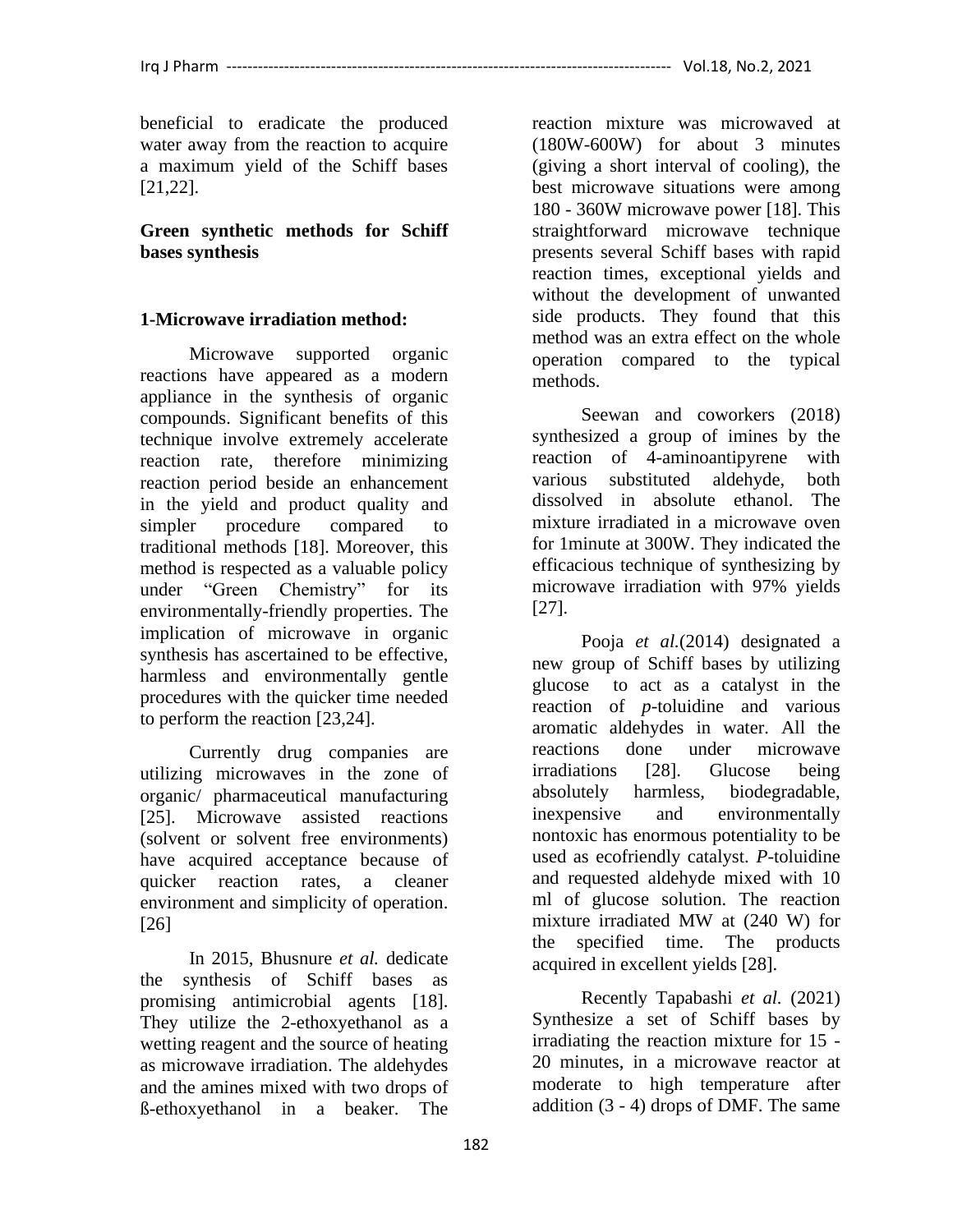beneficial to eradicate the produced water away from the reaction to acquire a maximum yield of the Schiff bases [21,22].

**Green synthetic methods for Schiff bases synthesis**

## **1-Microwave irradiation method:**

Microwave supported organic reactions have appeared as a modern appliance in the synthesis of organic compounds. Significant benefits of this technique involve extremely accelerate reaction rate, therefore minimizing reaction period beside an enhancement in the yield and product quality and simpler procedure compared to traditional methods [18]. Moreover, this method is respected as a valuable policy under "Green Chemistry" for its environmentally-friendly properties. The implication of microwave in organic synthesis has ascertained to be effective, harmless and environmentally gentle procedures with the quicker time needed to perform the reaction [23,24].

Currently drug companies are utilizing microwaves in the zone of organic/ pharmaceutical manufacturing [25]. Microwave assisted reactions (solvent or solvent free environments) have acquired acceptance because of quicker reaction rates, a cleaner environment and simplicity of operation. [26]

In 2015, Bhusnure *et al.* dedicate the synthesis of Schiff bases as promising antimicrobial agents [18]. They utilize the 2-ethoxyethanol as a wetting reagent and the source of heating as microwave irradiation. The aldehydes and the amines mixed with two drops of ß-ethoxyethanol in a beaker. The

reaction mixture was microwaved at (180W-600W) for about 3 minutes (giving a short interval of cooling), the best microwave situations were among 180 - 360W microwave power [18]. This straightforward microwave technique presents several Schiff bases with rapid reaction times, exceptional yields and without the development of unwanted side products. They found that this method was an extra effect on the whole operation compared to the typical methods.

Seewan and coworkers (2018) synthesized a group of imines by the reaction of 4-aminoantipyrene with various substituted aldehyde, both dissolved in absolute ethanol. The mixture irradiated in a microwave oven for 1minute at 300W. They indicated the efficacious technique of synthesizing by microwave irradiation with 97% yields [27].

Pooja *et al.*(2014) designated a new group of Schiff bases by utilizing glucose to act as a catalyst in the reaction of *p*-toluidine and various aromatic aldehydes in water. All the reactions done under microwave irradiations [28]. Glucose being absolutely harmless, biodegradable, inexpensive and environmentally nontoxic has enormous potentiality to be used as ecofriendly catalyst. *P*-toluidine and requested aldehyde mixed with 10 ml of glucose solution. The reaction mixture irradiated MW at (240 W) for the specified time. The products acquired in excellent yields [28].

Recently Tapabashi *et al.* (2021) Synthesize a set of Schiff bases by irradiating the reaction mixture for 15 - 20 minutes, in a microwave reactor at moderate to high temperature after addition (3 - 4) drops of DMF. The same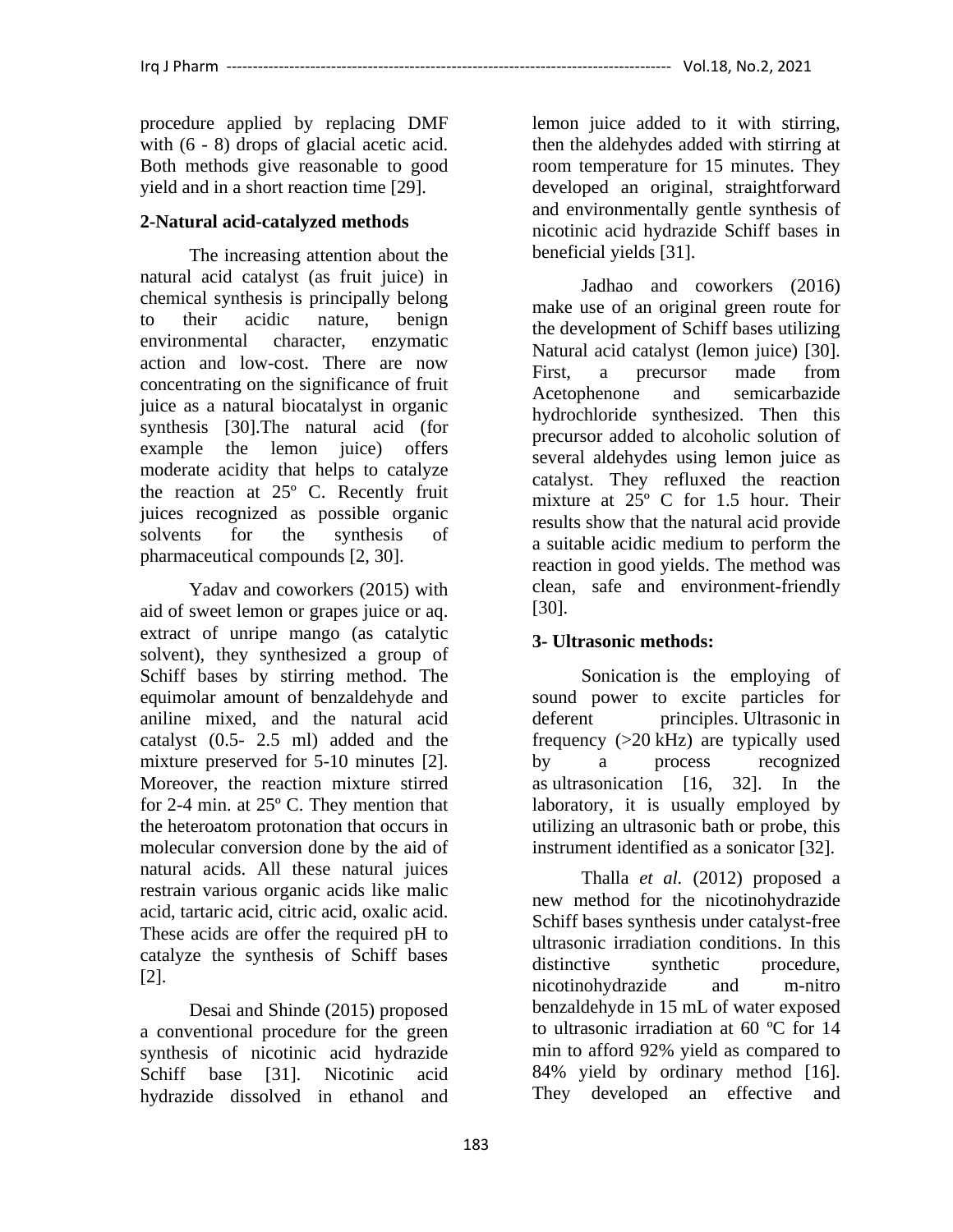procedure applied by replacing DMF with  $(6 - 8)$  drops of glacial acetic acid. Both methods give reasonable to good yield and in a short reaction time [29].

### **2-Natural acid-catalyzed methods**

The increasing attention about the natural acid catalyst (as fruit juice) in chemical synthesis is principally belong to their acidic nature, benign environmental character, enzymatic action and low-cost. There are now concentrating on the significance of fruit juice as a natural biocatalyst in organic synthesis [30].The natural acid (for example the lemon juice) offers moderate acidity that helps to catalyze the reaction at 25º C. Recently fruit juices recognized as possible organic solvents for the synthesis of pharmaceutical compounds [2, 30].

Yadav and coworkers (2015) with aid of sweet lemon or grapes juice or aq. extract of unripe mango (as catalytic solvent), they synthesized a group of Schiff bases by stirring method. The equimolar amount of benzaldehyde and aniline mixed, and the natural acid catalyst (0.5- 2.5 ml) added and the mixture preserved for 5-10 minutes [2]. Moreover, the reaction mixture stirred for 2-4 min. at 25º C. They mention that the heteroatom protonation that occurs in molecular conversion done by the aid of natural acids. All these natural juices restrain various organic acids like malic acid, tartaric acid, citric acid, oxalic acid. These acids are offer the required pH to catalyze the synthesis of Schiff bases [2].

Desai and Shinde (2015) proposed a conventional procedure for the green synthesis of nicotinic acid hydrazide Schiff base [31]. Nicotinic acid hydrazide dissolved in ethanol and lemon juice added to it with stirring, then the aldehydes added with stirring at room temperature for 15 minutes. They developed an original, straightforward and environmentally gentle synthesis of nicotinic acid hydrazide Schiff bases in beneficial yields [31].

Jadhao and coworkers (2016) make use of an original green route for the development of Schiff bases utilizing Natural acid catalyst (lemon juice) [30]. First, a precursor made from Acetophenone and semicarbazide hydrochloride synthesized. Then this precursor added to alcoholic solution of several aldehydes using lemon juice as catalyst. They refluxed the reaction mixture at 25º C for 1.5 hour. Their results show that the natural acid provide a suitable acidic medium to perform the reaction in good yields. The method was clean, safe and environment-friendly [30].

## **3- Ultrasonic methods:**

Sonication is the employing of sound power to excite particles for deferent principles. [Ultrasonic](https://en.wikipedia.org/wiki/Ultrasound) in frequency (>20 kHz) are typically used by a process recognized as ultrasonication [16, 32]. In the laboratory, it is usually employed by utilizing an ultrasonic bath or [probe,](https://en.wikipedia.org/wiki/Ultrasonic_probe) this instrument identified as a sonicator [32].

Thalla *et al.* (2012) proposed a new method for the nicotinohydrazide Schiff bases synthesis under catalyst-free ultrasonic irradiation conditions. In this distinctive synthetic procedure. nicotinohydrazide and m-nitro benzaldehyde in 15 mL of water exposed to ultrasonic irradiation at 60 ºC for 14 min to afford 92% yield as compared to 84% yield by ordinary method [16]. They developed an effective and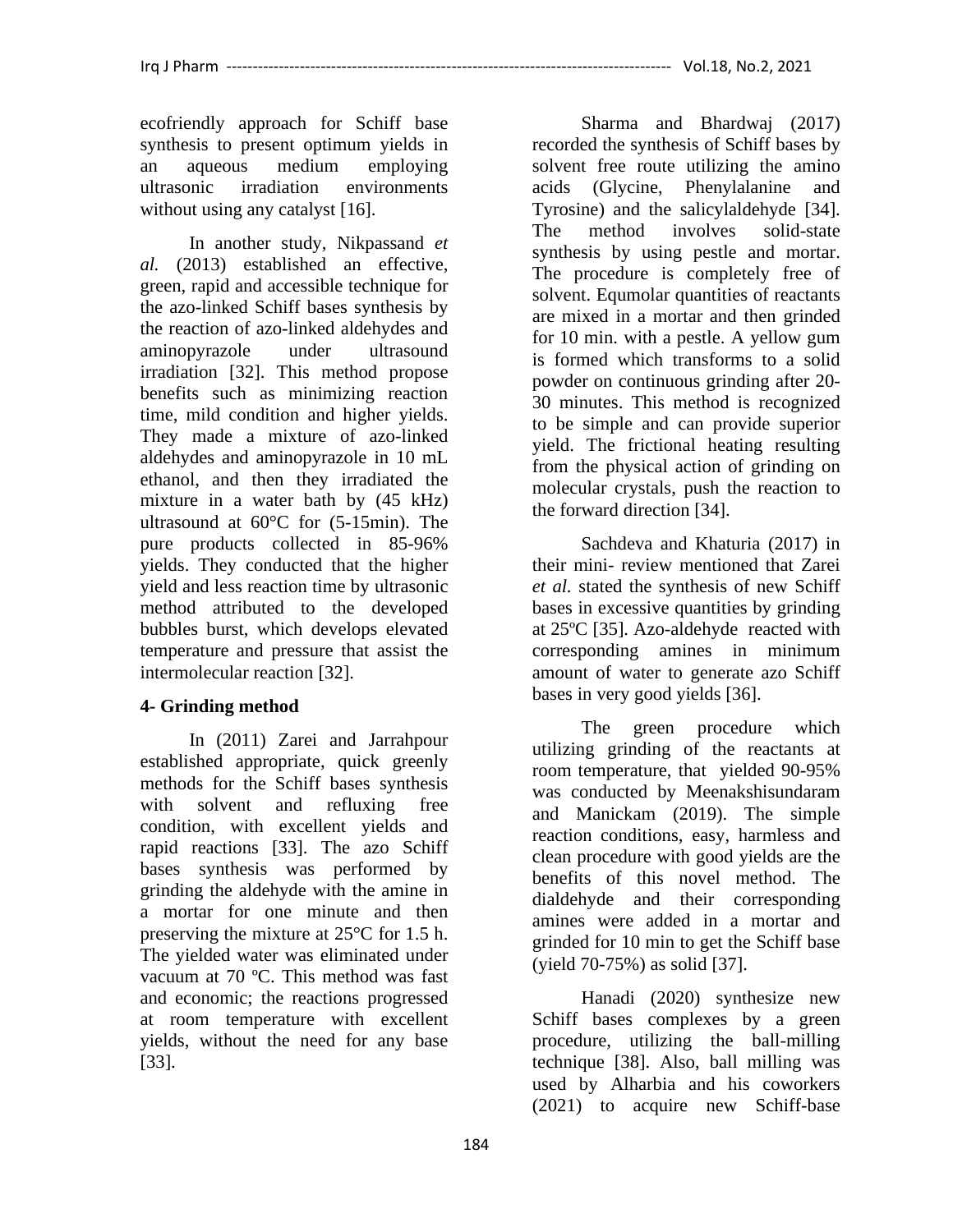ecofriendly approach for Schiff base synthesis to present optimum yields in an aqueous medium employing ultrasonic irradiation environments without using any catalyst [16].

In another study, Nikpassand *et al.* (2013) established an effective, green, rapid and accessible technique for the azo-linked Schiff bases synthesis by the reaction of azo-linked aldehydes and aminopyrazole under ultrasound irradiation [32]. This method propose benefits such as minimizing reaction time, mild condition and higher yields. They made a mixture of azo-linked aldehydes and aminopyrazole in 10 mL ethanol, and then they irradiated the mixture in a water bath by (45 kHz) ultrasound at 60°C for (5-15min). The pure products collected in 85-96% yields. They conducted that the higher yield and less reaction time by ultrasonic method attributed to the developed bubbles burst, which develops elevated temperature and pressure that assist the intermolecular reaction [32].

## **4- Grinding method**

In (2011) Zarei and Jarrahpour established appropriate, quick greenly methods for the Schiff bases synthesis with solvent and refluxing free condition, with excellent yields and rapid reactions [33]. The azo Schiff bases synthesis was performed by grinding the aldehyde with the amine in a mortar for one minute and then preserving the mixture at 25°C for 1.5 h. The yielded water was eliminated under vacuum at 70 ºC. This method was fast and economic; the reactions progressed at room temperature with excellent yields, without the need for any base [33].

Sharma and Bhardwaj (2017) recorded the synthesis of Schiff bases by solvent free route utilizing the amino acids (Glycine, Phenylalanine and Tyrosine) and the salicylaldehyde [34]. The method involves solid-state synthesis by using pestle and mortar. The procedure is completely free of solvent. Equmolar quantities of reactants are mixed in a mortar and then grinded for 10 min. with a pestle. A yellow gum is formed which transforms to a solid powder on continuous grinding after 20- 30 minutes. This method is recognized to be simple and can provide superior yield. The frictional heating resulting from the physical action of grinding on molecular crystals, push the reaction to the forward direction [34].

Sachdeva and Khaturia (2017) in their mini- review mentioned that Zarei *et al.* stated the synthesis of new Schiff bases in excessive quantities by grinding at 25ºC [35]. Azo-aldehyde reacted with corresponding amines in minimum amount of water to generate azo Schiff bases in very good yields [36].

The green procedure which utilizing grinding of the reactants at room temperature, that yielded 90-95% was conducted by Meenakshisundaram and Manickam (2019). The simple reaction conditions, easy, harmless and clean procedure with good yields are the benefits of this novel method. The dialdehyde and their corresponding amines were added in a mortar and grinded for 10 min to get the Schiff base (yield 70-75%) as solid [37].

Hanadi (2020) synthesize new Schiff bases complexes by a green procedure, utilizing the ball-milling technique [38]. Also, ball milling was used by Alharbia and his coworkers (2021) to acquire new Schiff-base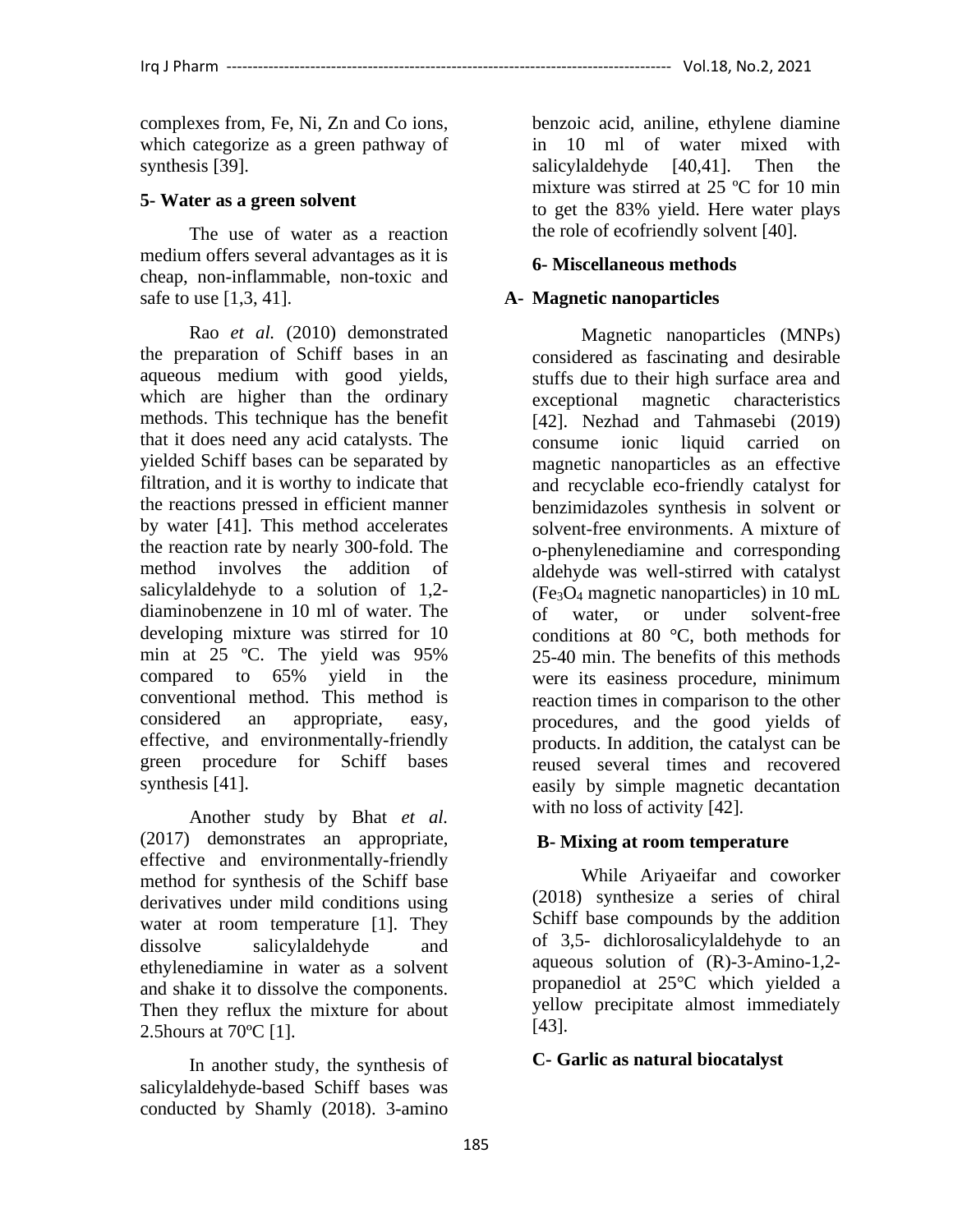complexes from, Fe, Ni, Zn and Co ions, which categorize as a green pathway of synthesis [39].

### **5- Water as a green solvent**

The use of water as a reaction medium offers several advantages as it is cheap, non-inflammable, non-toxic and safe to use [1,3, 41].

Rao *et al.* (2010) demonstrated the preparation of Schiff bases in an aqueous medium with good yields, which are higher than the ordinary methods. This technique has the benefit that it does need any acid catalysts. The yielded Schiff bases can be separated by filtration, and it is worthy to indicate that the reactions pressed in efficient manner by water [41]. This method accelerates the reaction rate by nearly 300-fold. The method involves the addition of salicylaldehyde to a solution of 1,2 diaminobenzene in 10 ml of water. The developing mixture was stirred for 10 min at 25 ºC. The yield was 95% compared to 65% yield in the conventional method. This method is considered an appropriate, easy, effective, and environmentally-friendly green procedure for Schiff bases synthesis [41].

Another study by Bhat *et al.* (2017) demonstrates an appropriate, effective and environmentally-friendly method for synthesis of the Schiff base derivatives under mild conditions using water at room temperature [1]. They dissolve salicylaldehyde and ethylenediamine in water as a solvent and shake it to dissolve the components. Then they reflux the mixture for about 2.5hours at 70ºC [1].

In another study, the synthesis of salicylaldehyde-based Schiff bases was conducted by Shamly (2018). 3-amino

benzoic acid, aniline, ethylene diamine in 10 ml of water mixed with salicylaldehyde [40,41]. Then the mixture was stirred at 25 ºC for 10 min to get the 83% yield. Here water plays the role of ecofriendly solvent [40].

### **6- Miscellaneous methods**

### **A- Magnetic nanoparticles**

Magnetic nanoparticles (MNPs) considered as fascinating and desirable stuffs due to their high surface area and exceptional magnetic characteristics [42]. Nezhad and Tahmasebi (2019) consume ionic liquid carried on magnetic nanoparticles as an effective and recyclable eco-friendly catalyst for benzimidazoles synthesis in solvent or solvent-free environments. A mixture of o-phenylenediamine and corresponding aldehyde was well-stirred with catalyst  $(Fe<sub>3</sub>O<sub>4</sub>$  magnetic nanoparticles) in 10 mL of water, or under solvent-free conditions at 80 °C, both methods for 25-40 min. The benefits of this methods were its easiness procedure, minimum reaction times in comparison to the other procedures, and the good yields of products. In addition, the catalyst can be reused several times and recovered easily by simple magnetic decantation with no loss of activity [42].

### **B- Mixing at room temperature**

While Ariyaeifar and coworker (2018) synthesize a series of chiral Schiff base compounds by the addition of 3,5- dichlorosalicylaldehyde to an aqueous solution of (R)-3-Amino-1,2 propanediol at 25°C which yielded a yellow precipitate almost immediately [43].

### **C- Garlic as natural biocatalyst**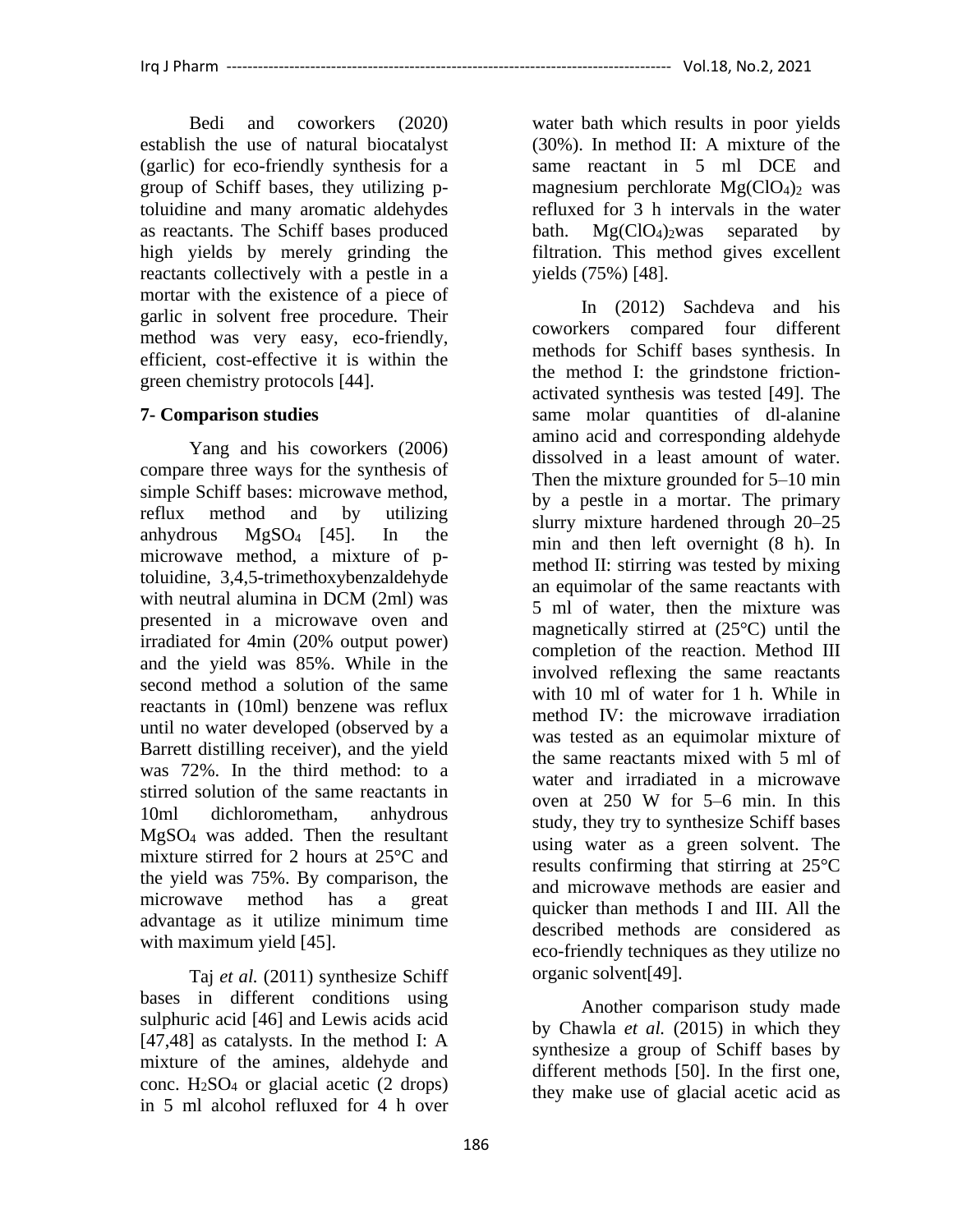Bedi and coworkers (2020) establish the use of natural biocatalyst (garlic) for eco-friendly synthesis for a group of Schiff bases, they utilizing ptoluidine and many aromatic aldehydes as reactants. The Schiff bases produced high yields by merely grinding the reactants collectively with a pestle in a mortar with the existence of a piece of garlic in solvent free procedure. Their method was very easy, eco-friendly, efficient, cost-effective it is within the green chemistry protocols [44].

# **7- Comparison studies**

Yang and his coworkers (2006) compare three ways for the synthesis of simple Schiff bases: microwave method, reflux method and by utilizing anhydrous MgSO<sup>4</sup> [45]. In the microwave method, a mixture of ptoluidine, 3,4,5-trimethoxybenzaldehyde with neutral alumina in DCM (2ml) was presented in a microwave oven and irradiated for 4min (20% output power) and the yield was 85%. While in the second method a solution of the same reactants in (10ml) benzene was reflux until no water developed (observed by a Barrett distilling receiver), and the yield was 72%. In the third method: to a stirred solution of the same reactants in 10ml dichlorometham, anhydrous MgSO<sup>4</sup> was added. Then the resultant mixture stirred for 2 hours at 25°C and the yield was 75%. By comparison, the microwave method has a great advantage as it utilize minimum time with maximum yield [45].

Taj *et al.* (2011) synthesize Schiff bases in different conditions using sulphuric acid [46] and Lewis acids acid [47,48] as catalysts. In the method I: A mixture of the amines, aldehyde and conc.  $H_2SO_4$  or glacial acetic (2 drops) in 5 ml alcohol refluxed for 4 h over

water bath which results in poor yields (30%). In method II: A mixture of the same reactant in 5 ml DCE and magnesium perchlorate  $Mg(CIO<sub>4</sub>)<sub>2</sub>$  was refluxed for 3 h intervals in the water bath.  $Mg(CIO<sub>4</sub>)<sub>2</sub>was separated by$ filtration. This method gives excellent yields (75%) [48].

In (2012) Sachdeva and his coworkers compared four different methods for Schiff bases synthesis. In the method I: the grindstone frictionactivated synthesis was tested [49]. The same molar quantities of dl-alanine amino acid and corresponding aldehyde dissolved in a least amount of water. Then the mixture grounded for 5–10 min by a pestle in a mortar. The primary slurry mixture hardened through 20–25 min and then left overnight (8 h). In method II: stirring was tested by mixing an equimolar of the same reactants with 5 ml of water, then the mixture was magnetically stirred at (25°C) until the completion of the reaction. Method III involved reflexing the same reactants with 10 ml of water for 1 h. While in method IV: the microwave irradiation was tested as an equimolar mixture of the same reactants mixed with 5 ml of water and irradiated in a microwave oven at 250 W for 5–6 min. In this study, they try to synthesize Schiff bases using water as a green solvent. The results confirming that stirring at 25°C and microwave methods are easier and quicker than methods I and III. All the described methods are considered as eco-friendly techniques as they utilize no organic solvent[49].

Another comparison study made by Chawla *et al.* (2015) in which they synthesize a group of Schiff bases by different methods [50]. In the first one, they make use of glacial acetic acid as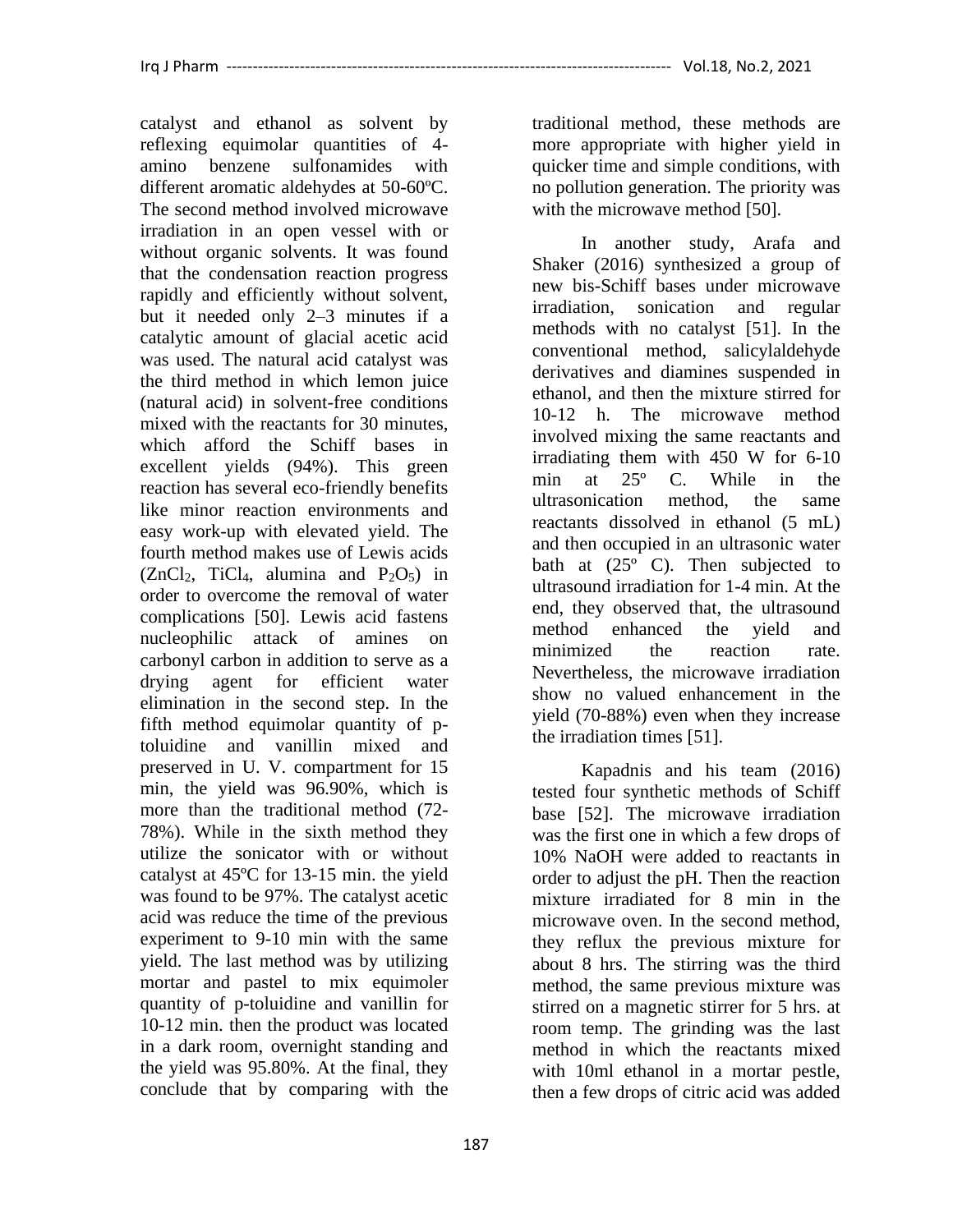catalyst and ethanol as solvent by reflexing equimolar quantities of 4 amino benzene sulfonamides with different aromatic aldehydes at 50-60ºC. The second method involved microwave irradiation in an open vessel with or without organic solvents. It was found that the condensation reaction progress rapidly and efficiently without solvent, but it needed only 2–3 minutes if a catalytic amount of glacial acetic acid was used. The natural acid catalyst was the third method in which lemon juice (natural acid) in solvent-free conditions mixed with the reactants for 30 minutes, which afford the Schiff bases in excellent yields (94%). This green reaction has several eco-friendly benefits like minor reaction environments and easy work-up with elevated yield. The fourth method makes use of Lewis acids  $(ZnCl<sub>2</sub>, TiCl<sub>4</sub>, alumina and P<sub>2</sub>O<sub>5</sub>)$  in order to overcome the removal of water complications [50]. Lewis acid fastens nucleophilic attack of amines on carbonyl carbon in addition to serve as a drying agent for efficient water elimination in the second step. In the fifth method equimolar quantity of ptoluidine and vanillin mixed and preserved in U. V. compartment for 15 min, the yield was 96.90%, which is more than the traditional method (72- 78%). While in the sixth method they utilize the sonicator with or without catalyst at 45ºC for 13-15 min. the yield was found to be 97%. The catalyst acetic acid was reduce the time of the previous experiment to 9-10 min with the same yield. The last method was by utilizing mortar and pastel to mix equimoler quantity of p-toluidine and vanillin for 10-12 min. then the product was located in a dark room, overnight standing and the yield was 95.80%. At the final, they conclude that by comparing with the

traditional method, these methods are more appropriate with higher yield in quicker time and simple conditions, with no pollution generation. The priority was with the microwave method [50].

In another study, Arafa and Shaker (2016) synthesized a group of new bis-Schiff bases under microwave irradiation, sonication and regular methods with no catalyst [51]. In the conventional method, salicylaldehyde derivatives and diamines suspended in ethanol, and then the mixture stirred for 10-12 h. The microwave method involved mixing the same reactants and irradiating them with 450 W for 6-10 min at 25º C. While in the ultrasonication method, the same reactants dissolved in ethanol (5 mL) and then occupied in an ultrasonic water bath at (25° C). Then subjected to ultrasound irradiation for 1-4 min. At the end, they observed that, the ultrasound method enhanced the yield and minimized the reaction rate. Nevertheless, the microwave irradiation show no valued enhancement in the yield (70-88%) even when they increase the irradiation times [51].

Kapadnis and his team (2016) tested four synthetic methods of Schiff base [52]. The microwave irradiation was the first one in which a few drops of 10% NaOH were added to reactants in order to adjust the pH. Then the reaction mixture irradiated for 8 min in the microwave oven. In the second method, they reflux the previous mixture for about 8 hrs. The stirring was the third method, the same previous mixture was stirred on a magnetic stirrer for 5 hrs. at room temp. The grinding was the last method in which the reactants mixed with 10ml ethanol in a mortar pestle, then a few drops of citric acid was added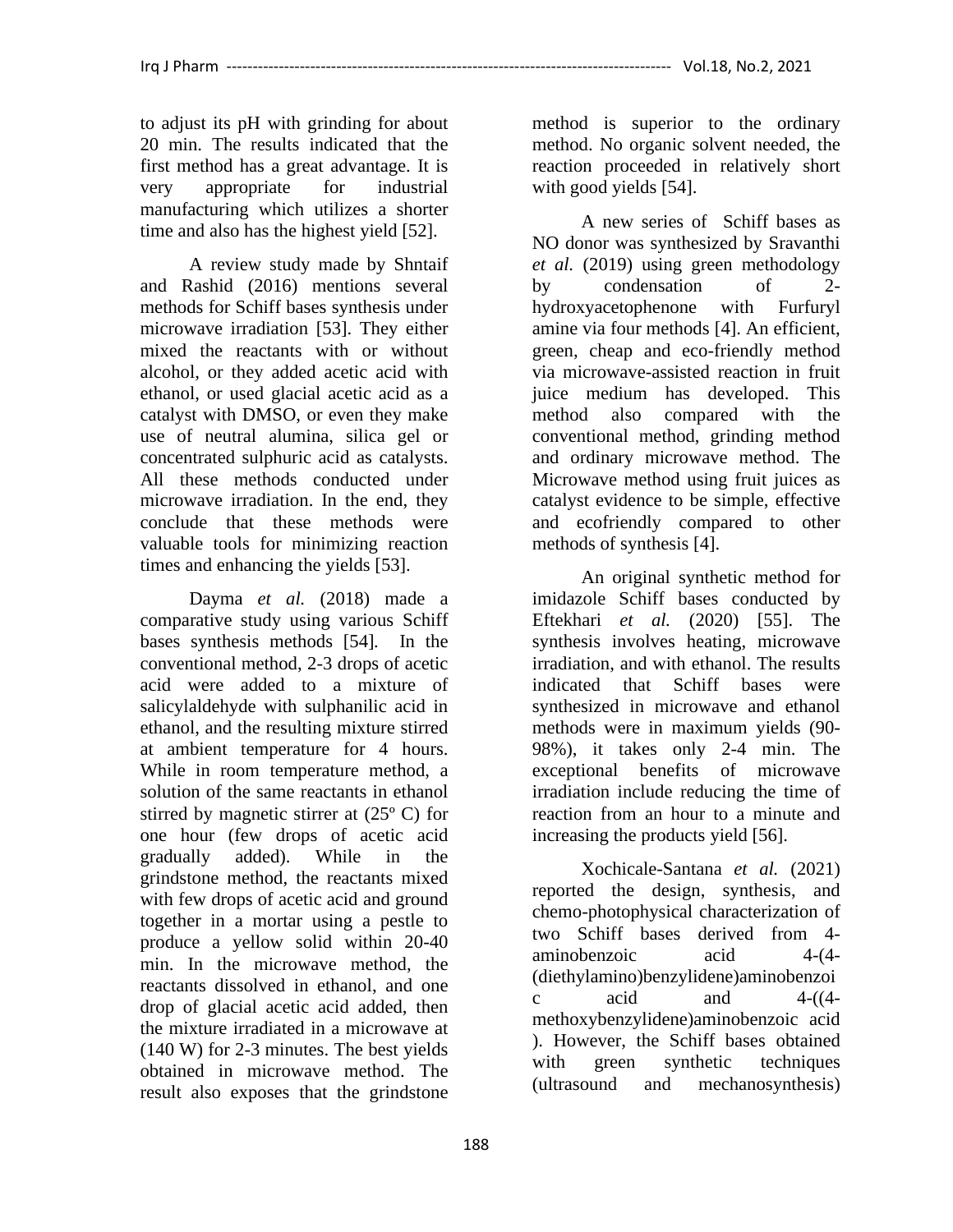to adjust its pH with grinding for about 20 min. The results indicated that the first method has a great advantage. It is very appropriate for industrial manufacturing which utilizes a shorter time and also has the highest yield [52].

A review study made by Shntaif and Rashid (2016) mentions several methods for Schiff bases synthesis under microwave irradiation [53]. They either mixed the reactants with or without alcohol, or they added acetic acid with ethanol, or used glacial acetic acid as a catalyst with DMSO, or even they make use of neutral alumina, silica gel or concentrated sulphuric acid as catalysts. All these methods conducted under microwave irradiation. In the end, they conclude that these methods were valuable tools for minimizing reaction times and enhancing the yields [53].

Dayma *et al.* (2018) made a comparative study using various Schiff bases synthesis methods [54]*.* In the conventional method, 2-3 drops of acetic acid were added to a mixture of salicylaldehyde with sulphanilic acid in ethanol, and the resulting mixture stirred at ambient temperature for 4 hours. While in room temperature method, a solution of the same reactants in ethanol stirred by magnetic stirrer at (25º C) for one hour (few drops of acetic acid gradually added). While in the grindstone method, the reactants mixed with few drops of acetic acid and ground together in a mortar using a pestle to produce a yellow solid within 20-40 min. In the microwave method, the reactants dissolved in ethanol, and one drop of glacial acetic acid added, then the mixture irradiated in a microwave at (140 W) for 2-3 minutes. The best yields obtained in microwave method. The result also exposes that the grindstone

method is superior to the ordinary method. No organic solvent needed, the reaction proceeded in relatively short with good yields [54].

A new series of Schiff bases as NO donor was synthesized by Sravanthi *et al.* (2019) using green methodology by condensation of 2 hydroxyacetophenone with Furfuryl amine via four methods [4]. An efficient, green, cheap and eco-friendly method via microwave-assisted reaction in fruit juice medium has developed. This method also compared with the conventional method, grinding method and ordinary microwave method. The Microwave method using fruit juices as catalyst evidence to be simple, effective and ecofriendly compared to other methods of synthesis [4].

An original synthetic method for imidazole Schiff bases conducted by Eftekhari *et al.* (2020) [55]. The synthesis involves heating, microwave irradiation, and with ethanol. The results indicated that Schiff bases were synthesized in microwave and ethanol methods were in maximum yields (90- 98%), it takes only 2-4 min. The exceptional benefits of microwave irradiation include reducing the time of reaction from an hour to a minute and increasing the products yield [56].

Xochicale-Santana *et al.* (2021) reported the design, synthesis, and chemo-photophysical characterization of two Schiff bases derived from 4 aminobenzoic acid 4-(4- (diethylamino)benzylidene)aminobenzoi c  $\alpha$  acid and  $4-(4-\alpha)$ methoxybenzylidene)aminobenzoic acid ). However, the Schiff bases obtained with green synthetic techniques (ultrasound and mechanosynthesis)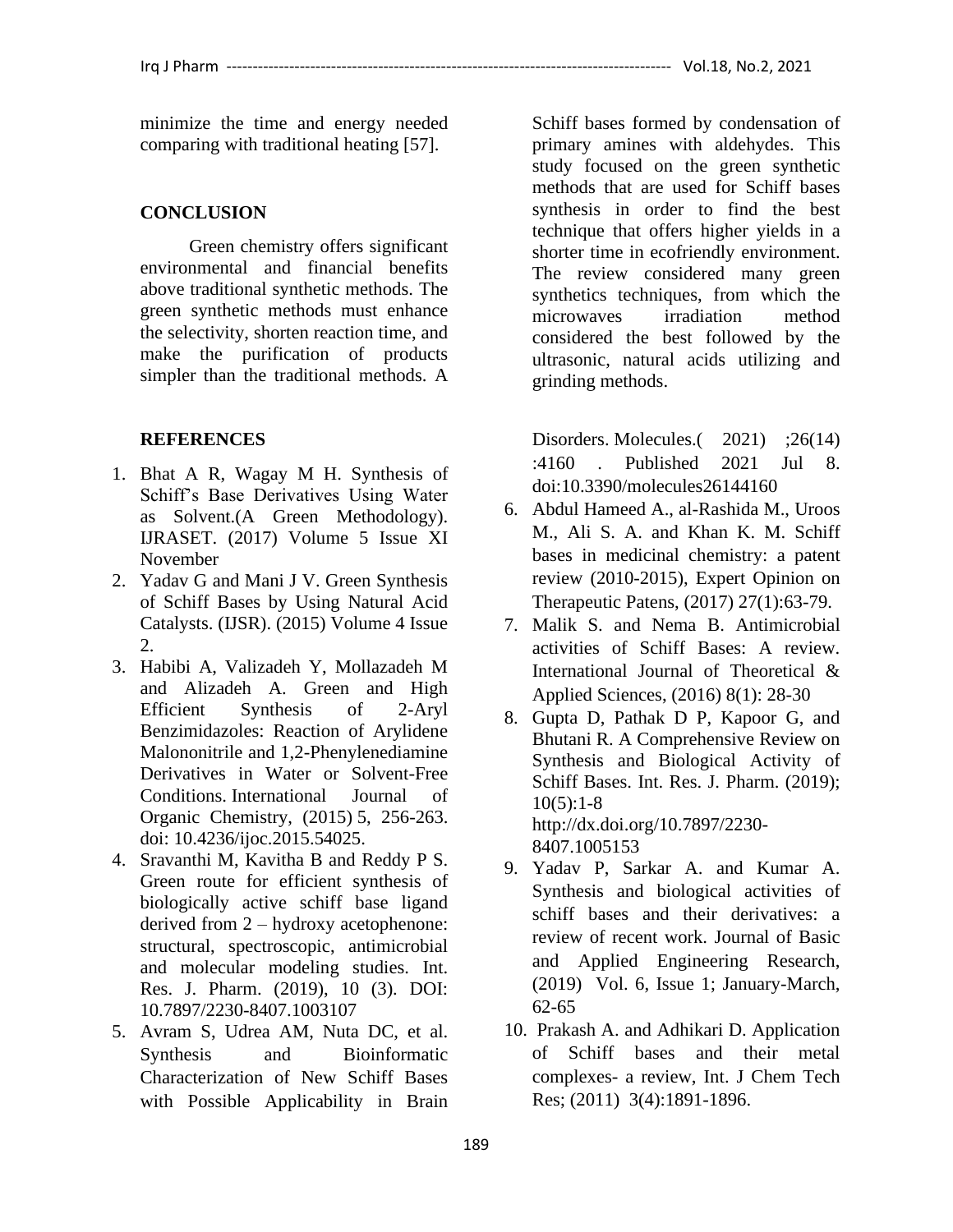minimize the time and energy needed comparing with traditional heating [57].

#### **CONCLUSION**

Green chemistry offers significant environmental and financial benefits above traditional synthetic methods. The green synthetic methods must enhance the selectivity, shorten reaction time, and make the purification of products simpler than the traditional methods. A

#### **REFERENCES**

- 1. Bhat A R, Wagay M H. Synthesis of Schiff's Base Derivatives Using Water as Solvent.(A Green Methodology). IJRASET. (2017) Volume 5 Issue XI November
- 2. Yadav G and Mani J V. Green Synthesis of Schiff Bases by Using Natural Acid Catalysts. (IJSR). (2015) Volume 4 Issue 2.
- 3. Habibi A, Valizadeh Y, Mollazadeh M and Alizadeh A. Green and High Efficient Synthesis of 2-Aryl Benzimidazoles: Reaction of Arylidene Malononitrile and 1,2-Phenylenediamine Derivatives in Water or Solvent-Free Conditions. International Journal of Organic Chemistry, (2015) 5, 256-263. doi: [10.4236/ijoc.2015.54025.](http://dx.doi.org/10.4236/ijoc.2015.54025)
- 4. Sravanthi M, Kavitha B and Reddy P S. Green route for efficient synthesis of biologically active schiff base ligand derived from 2 – hydroxy acetophenone: structural, spectroscopic, antimicrobial and molecular modeling studies. Int. Res. J. Pharm. (2019), 10 (3). DOI: 10.7897/2230-8407.1003107
- 5. Avram S, Udrea AM, Nuta DC, et al. Synthesis and Bioinformatic Characterization of New Schiff Bases with Possible Applicability in Brain

Schiff bases formed by condensation of primary amines with aldehydes. This study focused on the green synthetic methods that are used for Schiff bases synthesis in order to find the best technique that offers higher yields in a shorter time in ecofriendly environment. The review considered many green synthetics techniques, from which the microwaves irradiation method considered the best followed by the ultrasonic, natural acids utilizing and grinding methods.

Disorders. Molecules.(2021) ;26(14) :4160 . Published 2021 Jul 8. doi:10.3390/molecules26144160

- 6. Abdul Hameed A., al-Rashida M., Uroos M., Ali S. A. and Khan K. M. Schiff bases in medicinal chemistry: a patent review (2010-2015), Expert Opinion on Therapeutic Patens, (2017) 27(1):63-79.
- 7. Malik S. and Nema B. Antimicrobial activities of Schiff Bases: A review. International Journal of Theoretical & Applied Sciences, (2016) 8(1): 28-30
- 8. Gupta D, Pathak D P, Kapoor G, and Bhutani R. A Comprehensive Review on Synthesis and Biological Activity of Schiff Bases. Int. Res. J. Pharm. (2019);  $10(5):1-8$ [http://dx.doi.org/10.7897/2230-](http://dx.doi.org/10.7897/2230-8407.1005153) [8407.1005153](http://dx.doi.org/10.7897/2230-8407.1005153)

9. Yadav P, Sarkar A. and Kumar A.

- Synthesis and biological activities of schiff bases and their derivatives: a review of recent work. Journal of Basic and Applied Engineering Research, (2019) Vol. 6, Issue 1; January-March, 62-65
- 10. Prakash A. and Adhikari D. Application of Schiff bases and their metal complexes- a review, Int. J Chem Tech Res; (2011) 3(4):1891-1896.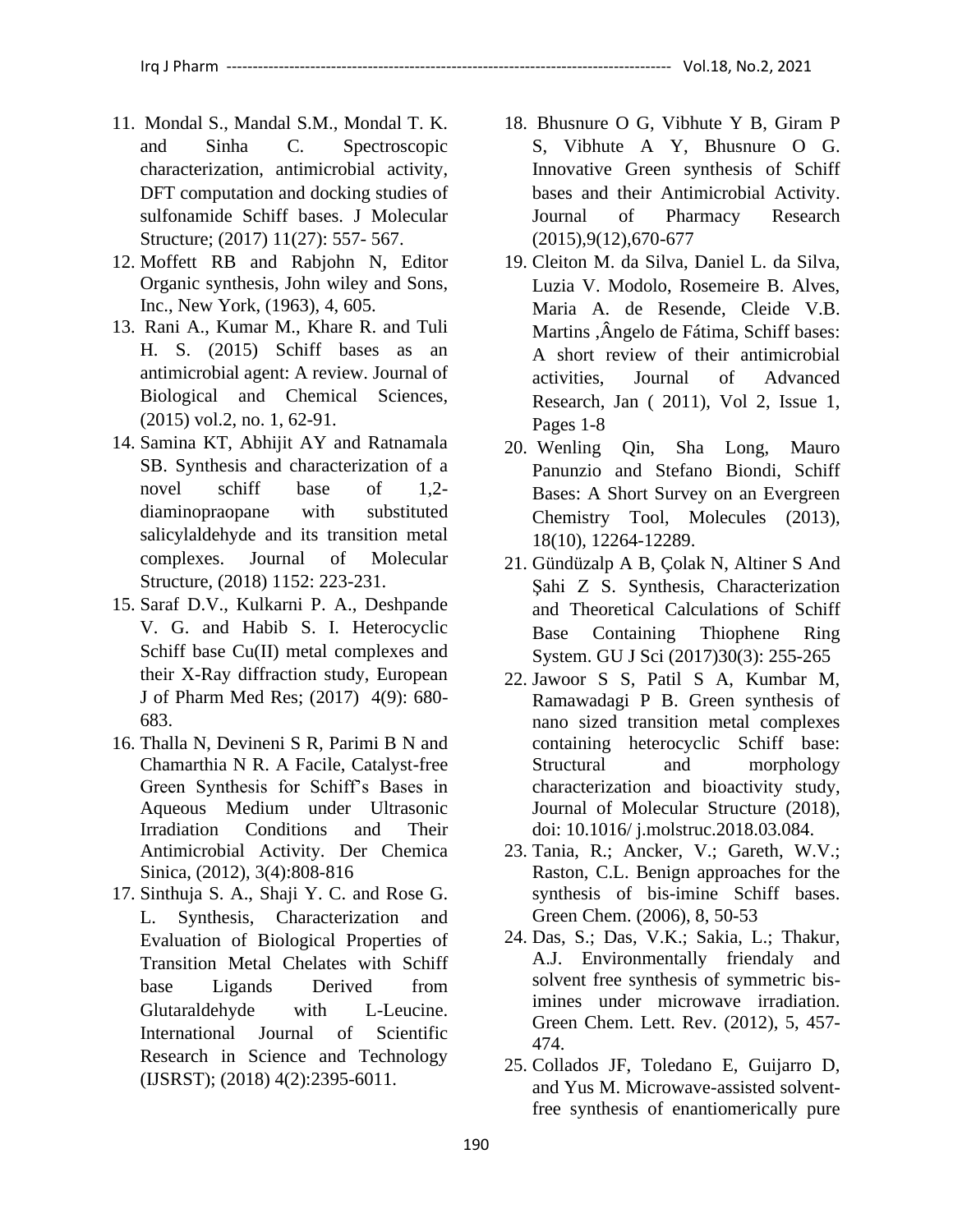- 11. Mondal S., Mandal S.M., Mondal T. K. and Sinha C. Spectroscopic characterization, antimicrobial activity, DFT computation and docking studies of sulfonamide Schiff bases. J Molecular Structure; (2017) 11(27): 557- 567.
- 12. Moffett RB and Rabjohn N, Editor Organic synthesis, John wiley and Sons, Inc., New York, (1963), 4, 605.
- 13. Rani A., Kumar M., Khare R. and Tuli H. S. (2015) Schiff bases as an antimicrobial agent: A review. Journal of Biological and Chemical Sciences, (2015) vol.2, no. 1, 62-91.
- 14. Samina KT, Abhijit AY and Ratnamala SB. Synthesis and characterization of a novel schiff base of 1,2 diaminopraopane with substituted salicylaldehyde and its transition metal complexes. Journal of Molecular Structure, (2018) 1152: 223-231.
- 15. Saraf D.V., Kulkarni P. A., Deshpande V. G. and Habib S. I. Heterocyclic Schiff base Cu(II) metal complexes and their X-Ray diffraction study, European J of Pharm Med Res; (2017) 4(9): 680- 683.
- 16. Thalla N, Devineni S R, Parimi B N and Chamarthia N R. A Facile, Catalyst-free Green Synthesis for Schiff's Bases in Aqueous Medium under Ultrasonic Irradiation Conditions and Their Antimicrobial Activity. Der Chemica Sinica, (2012), 3(4):808-816
- 17. Sinthuja S. A., Shaji Y. C. and Rose G. L. Synthesis, Characterization and Evaluation of Biological Properties of Transition Metal Chelates with Schiff base Ligands Derived from Glutaraldehyde with L-Leucine. International Journal of Scientific Research in Science and Technology (IJSRST); (2018) 4(2):2395-6011.
- 18. Bhusnure O G, Vibhute Y B, Giram P S, Vibhute A Y, Bhusnure O G. Innovative Green synthesis of Schiff bases and their Antimicrobial Activity. Journal of Pharmacy Research (2015),9(12),670-677
- 19. Cleiton M. da Silva, Daniel L. da Silva, Luzia V. Modolo, Rosemeire B. Alves, Maria A. de Resende, Cleide V.B. Martins ,Ângelo de Fátima, Schiff bases: A short review of their antimicrobial activities, Journal of Advanced Research, Jan ( 2011), Vol 2, Issue 1, Pages 1-8
- 20. Wenling Qin, Sha Long, Mauro Panunzio and Stefano Biondi, Schiff Bases: A Short Survey on an Evergreen Chemistry Tool, Molecules (2013), 18(10), 12264-12289.
- 21. Gündüzalp A B, Çolak N, Altiner S And Şahi Z S. Synthesis, Characterization and Theoretical Calculations of Schiff Base Containing Thiophene Ring System. GU J Sci (2017)30(3): 255-265
- 22. Jawoor S S, Patil S A, Kumbar M, Ramawadagi P B. Green synthesis of nano sized transition metal complexes containing heterocyclic Schiff base: Structural and morphology characterization and bioactivity study, Journal of Molecular Structure (2018), doi: 10.1016/ j.molstruc.2018.03.084.
- 23. Tania, R.; Ancker, V.; Gareth, W.V.; Raston, C.L. Benign approaches for the synthesis of bis-imine Schiff bases. Green Chem. (2006), 8, 50-53
- 24. Das, S.; Das, V.K.; Sakia, L.; Thakur, A.J. Environmentally friendaly and solvent free synthesis of symmetric bisimines under microwave irradiation. Green Chem. Lett. Rev. (2012), 5, 457- 474.
- 25. Collados JF, Toledano E, Guijarro D, and Yus M. Microwave-assisted solventfree synthesis of enantiomerically pure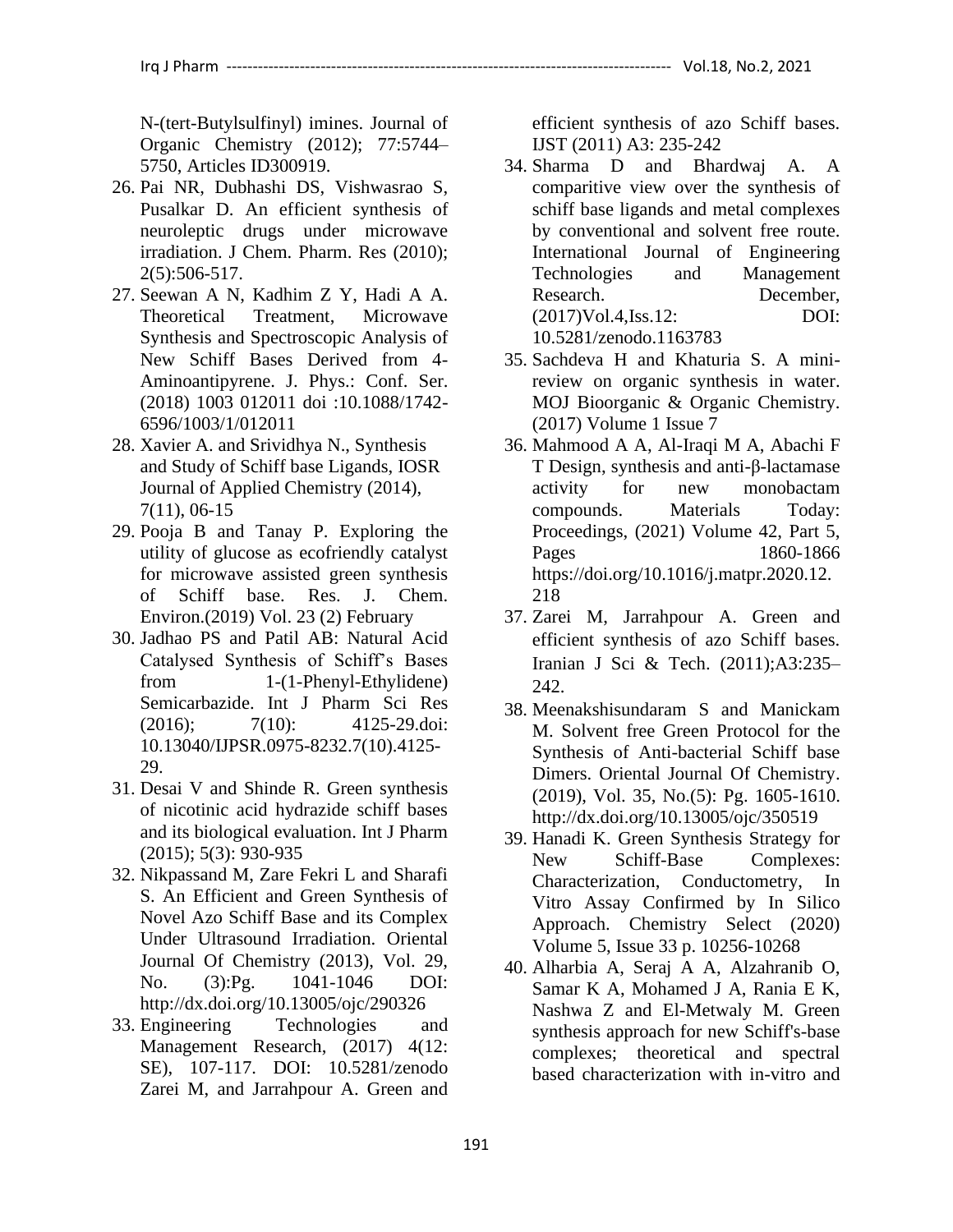N-(tert-Butylsulfinyl) imines. Journal of Organic Chemistry (2012); 77:5744– 5750, Articles ID300919.

- 26. Pai NR, Dubhashi DS, Vishwasrao S, Pusalkar D. An efficient synthesis of neuroleptic drugs under microwave irradiation. J Chem. Pharm. Res (2010); 2(5):506-517.
- 27. Seewan A N, Kadhim Z Y, Hadi A A. Theoretical Treatment, Microwave Synthesis and Spectroscopic Analysis of New Schiff Bases Derived from 4- Aminoantipyrene. J. Phys.: Conf. Ser. (2018) 1003 012011 doi :10.1088/1742- 6596/1003/1/012011
- 28. Xavier A. and Srividhya N., Synthesis and Study of Schiff base Ligands, IOSR Journal of Applied Chemistry (2014), 7(11), 06-15
- 29. Pooja B and Tanay P. Exploring the utility of glucose as ecofriendly catalyst for microwave assisted green synthesis of Schiff base. Res. J. Chem. Environ.(2019) Vol. 23 (2) February
- 30. Jadhao PS and Patil AB: Natural Acid Catalysed Synthesis of Schiff's Bases from 1-(1-Phenyl-Ethylidene) Semicarbazide. Int J Pharm Sci Res (2016); 7(10): 4125-29.doi: 10.13040/IJPSR.0975-8232.7(10).4125- 29.
- 31. Desai V and Shinde R. Green synthesis of nicotinic acid hydrazide schiff bases and its biological evaluation. Int J Pharm (2015); 5(3): 930-935
- 32. Nikpassand M, Zare Fekri L and Sharafi S. An Efficient and Green Synthesis of Novel Azo Schiff Base and its Complex Under Ultrasound Irradiation. Oriental Journal Of Chemistry (2013), Vol. 29, No. (3):Pg. 1041-1046 DOI: http://dx.doi.org/10.13005/ojc/290326
- 33. Engineering Technologies and Management Research, (2017) 4(12: SE), 107-117. DOI: 10.5281/zenodo Zarei M, and Jarrahpour A. Green and

efficient synthesis of azo Schiff bases. IJST (2011) A3: 235-242

- 34. Sharma D and Bhardwaj A. A comparitive view over the synthesis of schiff base ligands and metal complexes by conventional and solvent free route. International Journal of Engineering Technologies and Management Research. December, (2017)Vol.4,Iss.12: DOI: 10.5281/zenodo.1163783
- 35. Sachdeva H and Khaturia S. A minireview on organic synthesis in water. MOJ Bioorganic & Organic Chemistry. (2017) Volume 1 Issue 7
- 36. [Mahmood A A,](https://www.sciencedirect.com/science/article/pii/S221478532039903X#!) [Al-Iraqi](https://www.sciencedirect.com/science/article/pii/S221478532039903X#!) M A, [Abachi](https://www.sciencedirect.com/science/article/pii/S221478532039903X#!) F T Design, synthesis and anti-β-lactamase activity for new monobactam compounds. Materials Today: Proceedings, (2021) Volume 42, Part 5, Pages 1860-1866 [https://doi.org/10.1016/j.matpr.2020.12.](https://doi.org/10.1016/j.matpr.2020.12.218) [218](https://doi.org/10.1016/j.matpr.2020.12.218)
- 37. Zarei M, Jarrahpour A. Green and efficient synthesis of azo Schiff bases. Iranian J Sci & Tech. (2011);A3:235– 242.
- 38. Meenakshisundaram S and Manickam M. Solvent free Green Protocol for the Synthesis of Anti-bacterial Schiff base Dimers. Oriental Journal Of Chemistry. (2019), Vol. 35, No.(5): Pg. 1605-1610. http://dx.doi.org/10.13005/ojc/350519
- 39. Hanadi K. Green Synthesis Strategy for New Schiff-Base Complexes: Characterization, Conductometry, In Vitro Assay Confirmed by In Silico Approach. Chemistry Select (2020) Volume 5, Issue 33 p. 10256-10268
- 40. Alharbia A, Seraj A A, Alzahranib O, Samar K A, Mohamed J A, Rania E K, Nashwa Z and El-Metwaly M. Green synthesis approach for new Schiff's-base complexes; theoretical and spectral based characterization with in-vitro and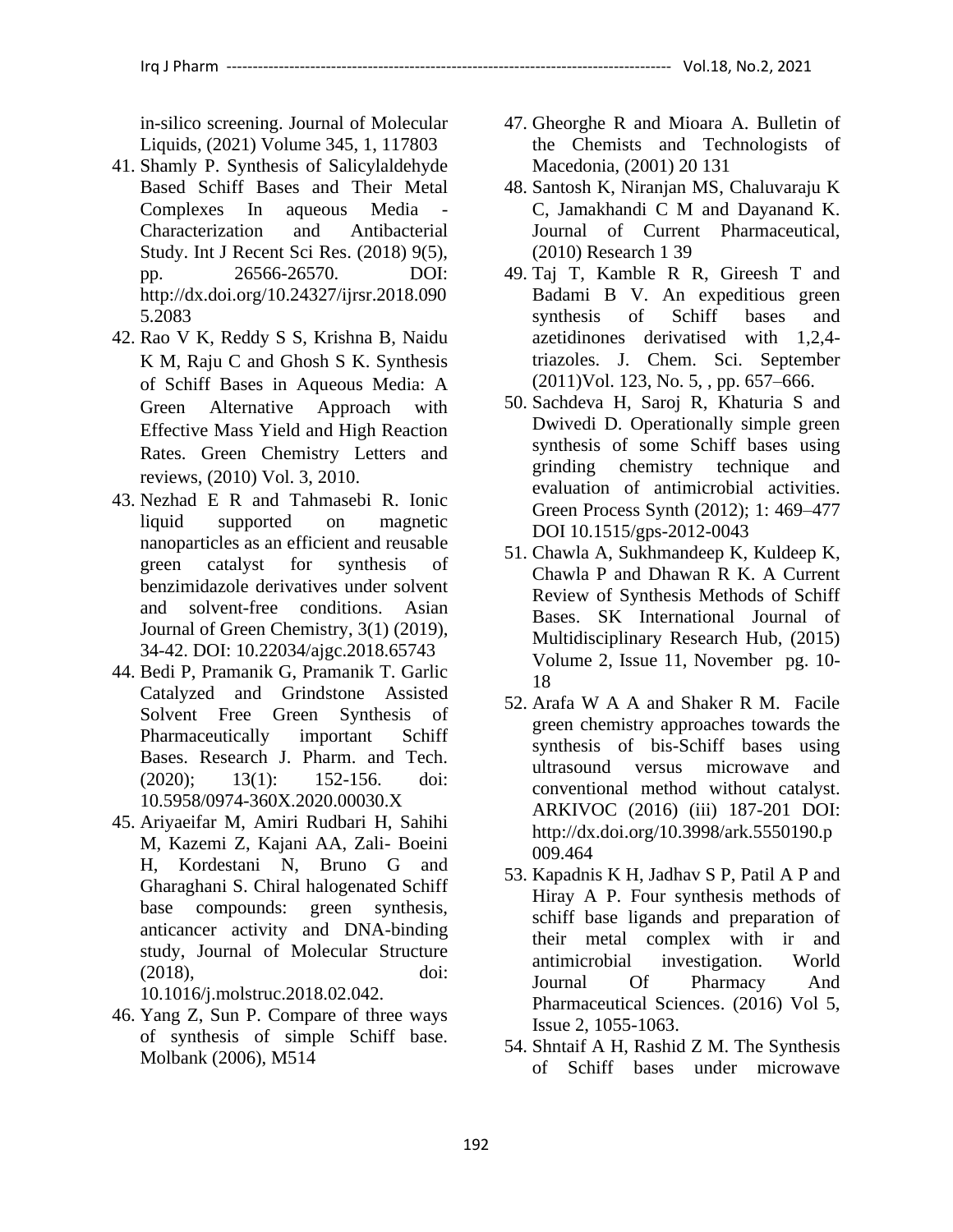in-silico screening. Journal of Molecular Liquids, (2021) Volume 345, 1, 117803

- 41. Shamly P. Synthesis of Salicylaldehyde Based Schiff Bases and Their Metal Complexes In aqueous Media - Characterization and Antibacterial Study. Int J Recent Sci Res. (2018) 9(5), pp. 26566-26570. DOI: http://dx.doi.org/10.24327/ijrsr.2018.090 5.2083
- 42. Rao V K, Reddy S S, Krishna B, Naidu K M, Raju C and Ghosh S K. Synthesis of Schiff Bases in Aqueous Media: A Green Alternative Approach with Effective Mass Yield and High Reaction Rates. Green Chemistry Letters and reviews, (2010) Vol. 3, 2010.
- 43. Nezhad E R and Tahmasebi R. Ionic liquid supported on magnetic nanoparticles as an efficient and reusable green catalyst for synthesis of benzimidazole derivatives under solvent and solvent-free conditions. Asian Journal of Green Chemistry, 3(1) (2019), 34-42. DOI: 10.22034/ajgc.2018.65743
- 44. Bedi P, Pramanik G, Pramanik T. Garlic Catalyzed and Grindstone Assisted Solvent Free Green Synthesis of Pharmaceutically important Schiff Bases. Research J. Pharm. and Tech. (2020); 13(1): 152-156. doi: 10.5958/0974-360X.2020.00030.X
- 45. Ariyaeifar M, Amiri Rudbari H, Sahihi M, Kazemi Z, Kajani AA, Zali- Boeini H, Kordestani N, Bruno G and Gharaghani S. Chiral halogenated Schiff base compounds: green synthesis, anticancer activity and DNA-binding study, Journal of Molecular Structure (2018), doi:

10.1016/j.molstruc.2018.02.042.

46. Yang Z, Sun P. Compare of three ways of synthesis of simple Schiff base. Molbank (2006), M514

- 47. Gheorghe R and Mioara A. Bulletin of the Chemists and Technologists of Macedonia, (2001) 20 131
- 48. Santosh K, Niranjan MS, Chaluvaraju K C, Jamakhandi C M and Dayanand K. Journal of Current Pharmaceutical, (2010) Research 1 39
- 49. Taj T, Kamble R R, Gireesh T and Badami B V. An expeditious green synthesis of Schiff bases and azetidinones derivatised with 1,2,4 triazoles. J. Chem. Sci. September (2011)Vol. 123, No. 5, , pp. 657–666.
- 50. Sachdeva H, Saroj R, Khaturia S and Dwivedi D. Operationally simple green synthesis of some Schiff bases using grinding chemistry technique and evaluation of antimicrobial activities. Green Process Synth (2012); 1: 469–477 DOI 10.1515/gps-2012-0043
- 51. Chawla A, Sukhmandeep K, Kuldeep K, Chawla P and Dhawan R K. A Current Review of Synthesis Methods of Schiff Bases. SK International Journal of Multidisciplinary Research Hub, (2015) Volume 2, Issue 11, November pg. 10- 18
- 52. Arafa W A A and Shaker R M. Facile green chemistry approaches towards the synthesis of bis-Schiff bases using ultrasound versus microwave and conventional method without catalyst. ARKIVOC (2016) (iii) 187-201 DOI: http://dx.doi.org/10.3998/ark.5550190.p 009.464
- 53. Kapadnis K H, Jadhav S P, Patil A P and Hiray A P. Four synthesis methods of schiff base ligands and preparation of their metal complex with ir and antimicrobial investigation. World Journal Of Pharmacy And Pharmaceutical Sciences. (2016) Vol 5, Issue 2, 1055-1063.
- 54. Shntaif A H, Rashid Z M. The Synthesis of Schiff bases under microwave